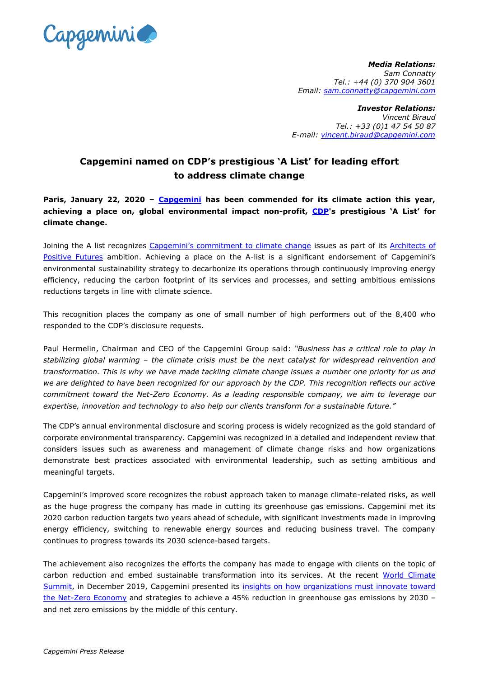

*Media Relations: Sam Connatty Tel.: +44 (0) 370 904 3601 Email: [sam.connatty@capgemini.com](mailto:sam.connatty@capgemini.com)* 

*Investor Relations: Vincent Biraud Tel.: +33 (0)1 47 54 50 87 E-mail: [vincent.biraud@capgemini.com](mailto:vincent.biraud@capgemini.com)*

## **Capgemini named on CDP's prestigious 'A List' for leading effort to address climate change**

**Paris, January 22, 2020 – [Capgemini](http://www.capgemini.com/) has been commended for its climate action this year, achieving a place on, global environmental impact non-profit, [CDP'](https://www.cdp.net/en)s prestigious 'A List' for climate change.** 

Joining the A list recognizes [Capgemini's commitment to climate change](https://www.capgemini.com/environmental-sustainability/) issues as part of its Architects of [Positive Futures](https://www.capgemini.com/our-company/our-corporate-social-responsibility-program/) ambition. Achieving a place on the A-list is a significant endorsement of Capgemini's environmental sustainability strategy to decarbonize its operations through continuously improving energy efficiency, reducing the carbon footprint of its services and processes, and setting ambitious emissions reductions targets in line with climate science.

This recognition places the company as one of small number of high performers out of the 8,400 who responded to the CDP's disclosure requests.

Paul Hermelin, Chairman and CEO of the Capgemini Group said: *"Business has a critical role to play in stabilizing global warming – the climate crisis must be the next catalyst for widespread reinvention and transformation. This is why we have made tackling climate change issues a number one priority for us and we are delighted to have been recognized for our approach by the CDP. This recognition reflects our active commitment toward the Net-Zero Economy. As a leading responsible company, we aim to leverage our expertise, innovation and technology to also help our clients transform for a sustainable future."*

The CDP's annual environmental disclosure and scoring process is widely recognized as the gold standard of corporate environmental transparency. Capgemini was recognized in a detailed and independent review that considers issues such as awareness and management of climate change risks and how organizations demonstrate best practices associated with environmental leadership, such as setting ambitious and meaningful targets.

Capgemini's improved score recognizes the robust approach taken to manage climate-related risks, as well as the huge progress the company has made in cutting its greenhouse gas emissions. Capgemini met its 2020 carbon reduction targets two years ahead of schedule, with significant investments made in improving energy efficiency, switching to renewable energy sources and reducing business travel. The company continues to progress towards its 2030 science-based targets.

The achievement also recognizes the efforts the company has made to engage with clients on the topic of carbon reduction and embed sustainable transformation into its services. At the recent World Climate [Summit,](https://www.capgemini.com/events/wcs-2019/) in December 2019, Capgemini presented its [insights on how organizations must innovate toward](https://www.capgemini.com/resources/the-sustainable-business-revolution-2030/)  [the Net-Zero Economy](https://www.capgemini.com/resources/the-sustainable-business-revolution-2030/) and strategies to achieve a 45% reduction in greenhouse gas emissions by 2030 and net zero emissions by the middle of this century.